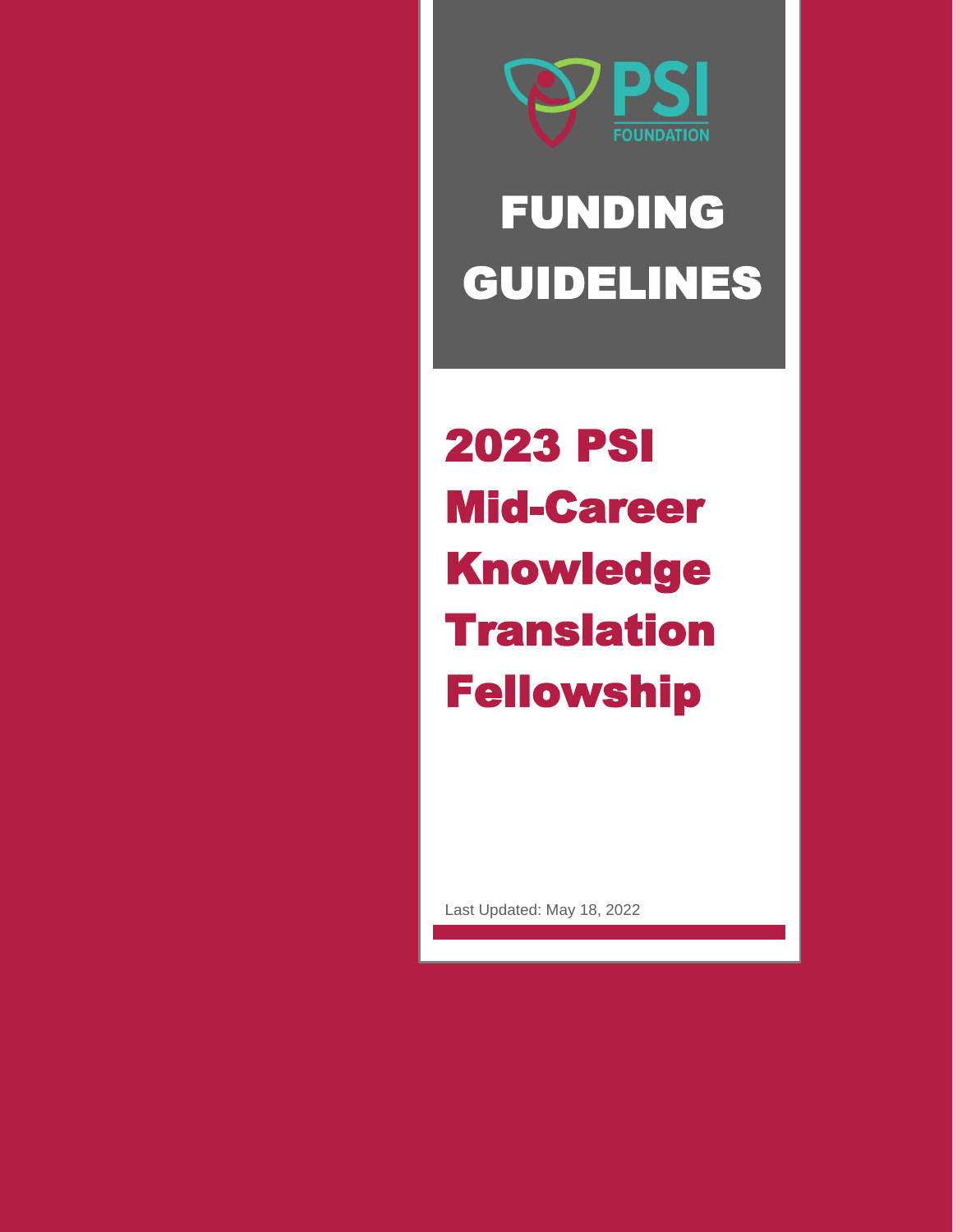

# FUNDING GUIDELINES

2023 PSI Mid-Career Knowledge **Translation** Fellowship

Last Updated: May 18, 2022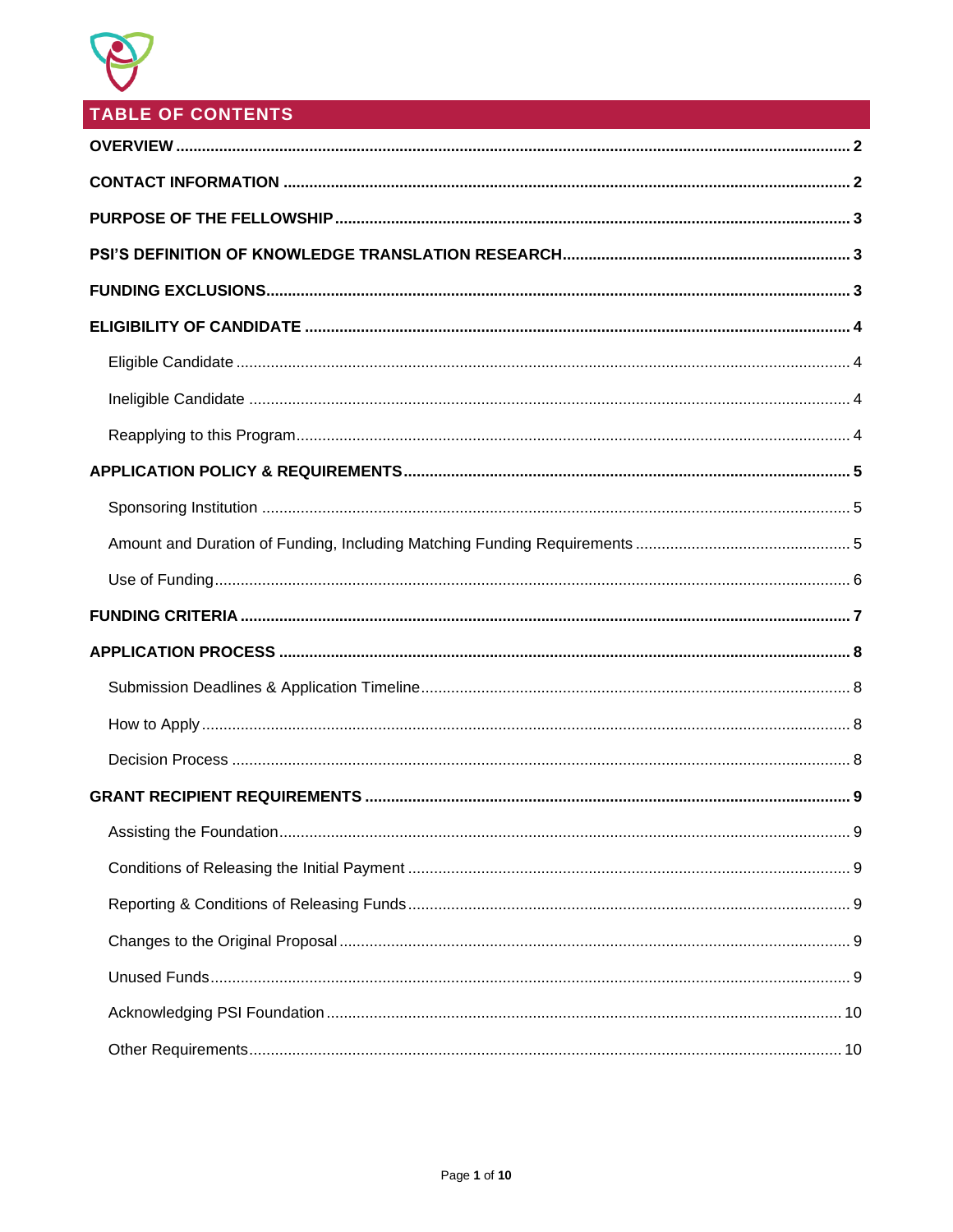

# **TABLE OF CONTENTS**

<span id="page-1-0"></span>

| 9 |
|---|
|   |
|   |
|   |
|   |
|   |
|   |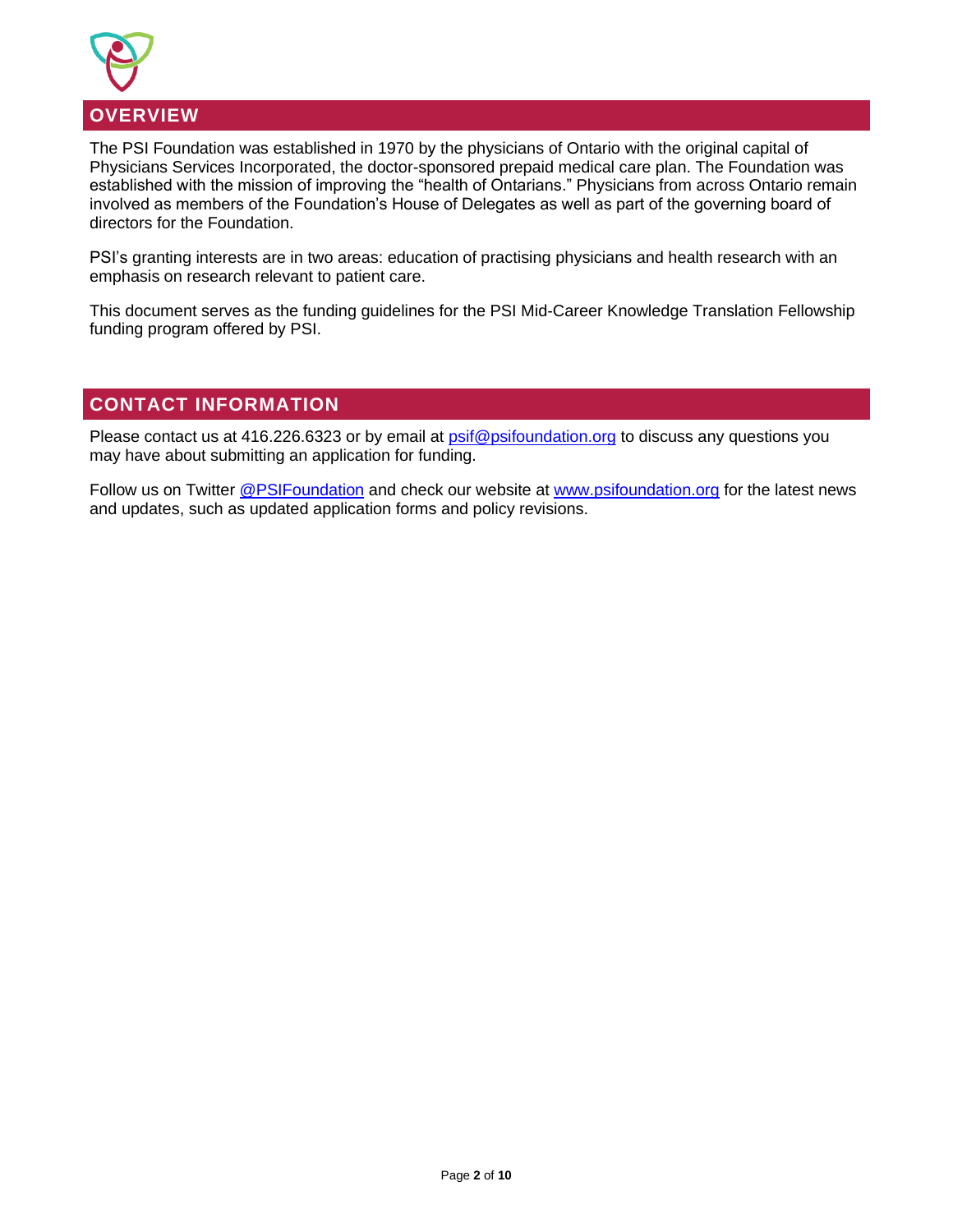

## The PSI Foundation was established in 1970 by the physicians of Ontario with the original capital of Physicians Services Incorporated, the doctor-sponsored prepaid medical care plan. The Foundation was established with the mission of improving the "health of Ontarians." Physicians from across Ontario remain involved as members of the Foundation's House of Delegates as well as part of the governing board of directors for the Foundation.

PSI's granting interests are in two areas: education of practising physicians and health research with an emphasis on research relevant to patient care.

This document serves as the funding guidelines for the PSI Mid-Career Knowledge Translation Fellowship funding program offered by PSI.

# <span id="page-2-0"></span>**CONTACT INFORMATION**

Please contact us at 416.226.6323 or by email at **psif@psifoundation.org** to discuss any questions you may have about submitting an application for funding.

Follow us on Twitter [@PSIFoundation](https://twitter.com/PSIFoundation) and check our website at [www.psifoundation.org](http://www.psifoundation.org/) for the latest news and updates, such as updated application forms and policy revisions.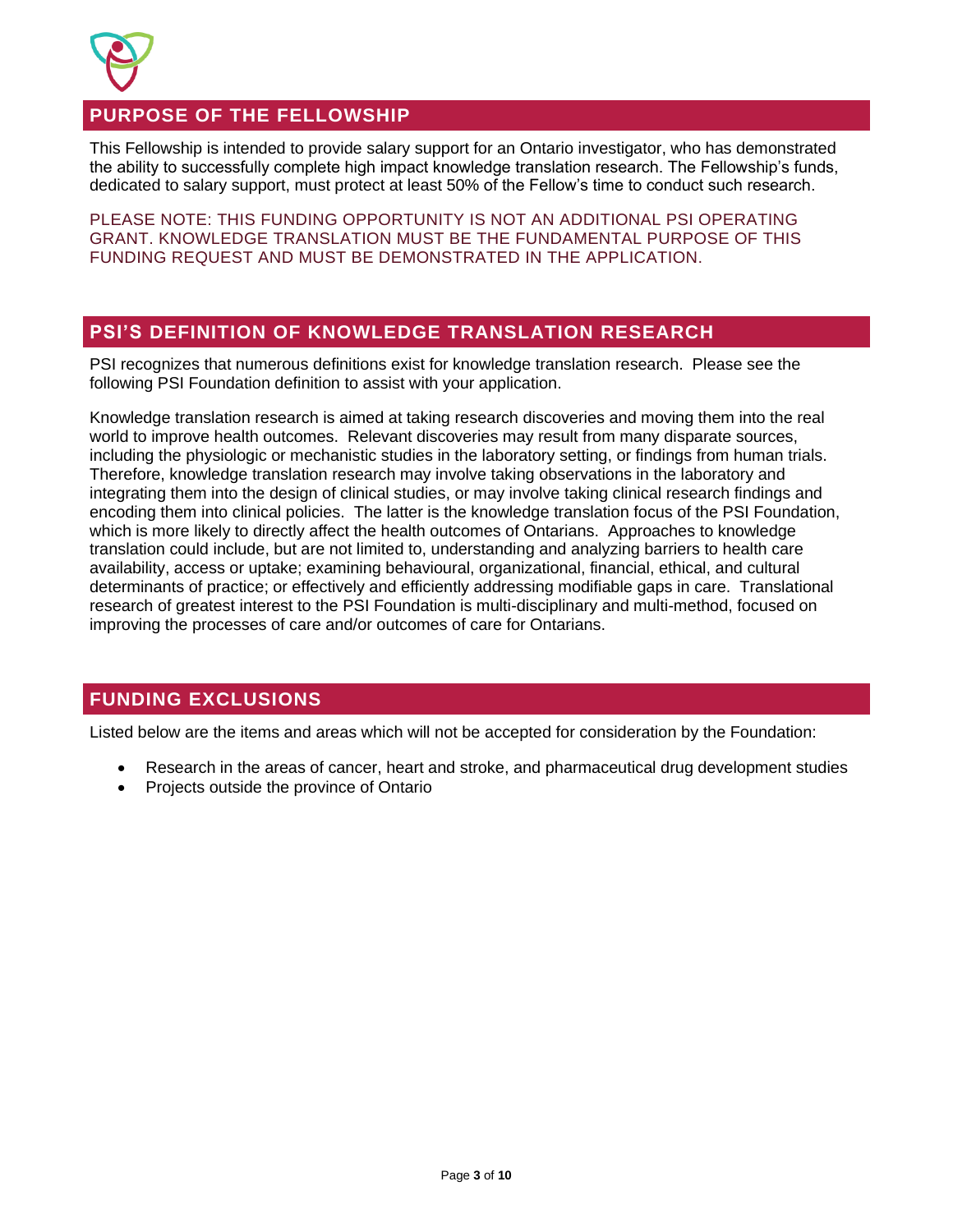

# <span id="page-3-0"></span>**PURPOSE OF THE FELLOWSHIP**

This Fellowship is intended to provide salary support for an Ontario investigator, who has demonstrated the ability to successfully complete high impact knowledge translation research. The Fellowship's funds, dedicated to salary support, must protect at least 50% of the Fellow's time to conduct such research.

PLEASE NOTE: THIS FUNDING OPPORTUNITY IS NOT AN ADDITIONAL PSI OPERATING GRANT. KNOWLEDGE TRANSLATION MUST BE THE FUNDAMENTAL PURPOSE OF THIS FUNDING REQUEST AND MUST BE DEMONSTRATED IN THE APPLICATION.

# <span id="page-3-1"></span>**PSI'S DEFINITION OF KNOWLEDGE TRANSLATION RESEARCH**

PSI recognizes that numerous definitions exist for knowledge translation research. Please see the following PSI Foundation definition to assist with your application.

Knowledge translation research is aimed at taking research discoveries and moving them into the real world to improve health outcomes. Relevant discoveries may result from many disparate sources, including the physiologic or mechanistic studies in the laboratory setting, or findings from human trials. Therefore, knowledge translation research may involve taking observations in the laboratory and integrating them into the design of clinical studies, or may involve taking clinical research findings and encoding them into clinical policies. The latter is the knowledge translation focus of the PSI Foundation, which is more likely to directly affect the health outcomes of Ontarians. Approaches to knowledge translation could include, but are not limited to, understanding and analyzing barriers to health care availability, access or uptake; examining behavioural, organizational, financial, ethical, and cultural determinants of practice; or effectively and efficiently addressing modifiable gaps in care. Translational research of greatest interest to the PSI Foundation is multi-disciplinary and multi-method, focused on improving the processes of care and/or outcomes of care for Ontarians.

# <span id="page-3-2"></span>**FUNDING EXCLUSIONS**

Listed below are the items and areas which will not be accepted for consideration by the Foundation:

- Research in the areas of cancer, heart and stroke, and pharmaceutical drug development studies
- Projects outside the province of Ontario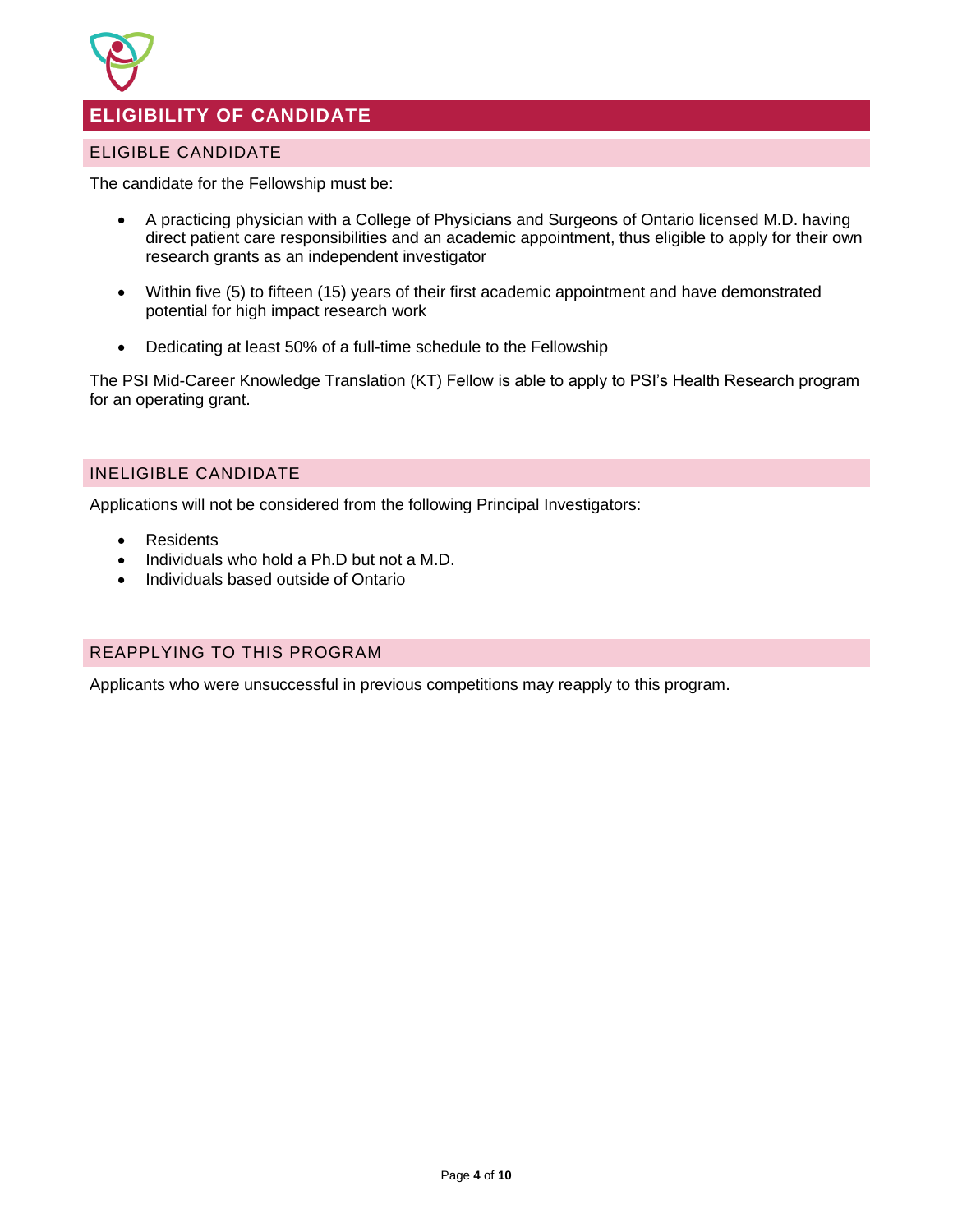

# <span id="page-4-0"></span>**ELIGIBILITY OF CANDIDATE**

# <span id="page-4-1"></span>ELIGIBLE CANDIDATE

The candidate for the Fellowship must be:

- A practicing physician with a College of Physicians and Surgeons of Ontario licensed M.D. having direct patient care responsibilities and an academic appointment, thus eligible to apply for their own research grants as an independent investigator
- Within five (5) to fifteen (15) years of their first academic appointment and have demonstrated potential for high impact research work
- Dedicating at least 50% of a full-time schedule to the Fellowship

The PSI Mid-Career Knowledge Translation (KT) Fellow is able to apply to PSI's Health Research program for an operating grant.

# <span id="page-4-2"></span>INELIGIBLE CANDIDATE

Applications will not be considered from the following Principal Investigators:

- Residents
- Individuals who hold a Ph.D but not a M.D.
- Individuals based outside of Ontario

## <span id="page-4-3"></span>REAPPLYING TO THIS PROGRAM

Applicants who were unsuccessful in previous competitions may reapply to this program.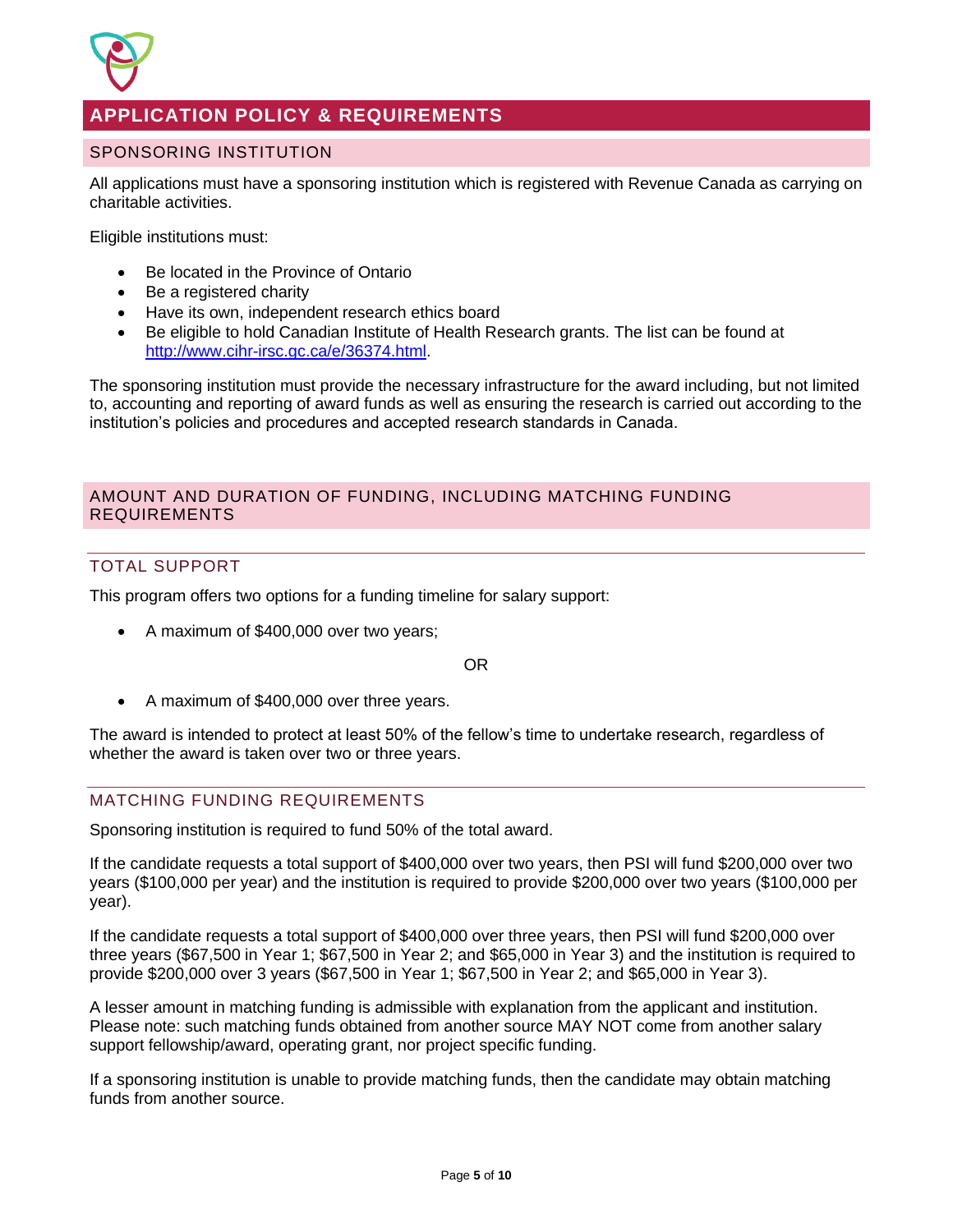

# <span id="page-5-0"></span>**APPLICATION POLICY & REQUIREMENTS**

## <span id="page-5-1"></span>SPONSORING INSTITUTION

All applications must have a sponsoring institution which is registered with Revenue Canada as carrying on charitable activities.

Eligible institutions must:

- Be located in the Province of Ontario
- Be a registered charity
- Have its own, independent research ethics board
- Be eligible to hold Canadian Institute of Health Research grants. The list can be found at [http://www.cihr-irsc.gc.ca/e/36374.html.](http://www.cihr-irsc.gc.ca/e/36374.html)

The sponsoring institution must provide the necessary infrastructure for the award including, but not limited to, accounting and reporting of award funds as well as ensuring the research is carried out according to the institution's policies and procedures and accepted research standards in Canada.

## <span id="page-5-2"></span>AMOUNT AND DURATION OF FUNDING, INCLUDING MATCHING FUNDING REQUIREMENTS

# TOTAL SUPPORT

This program offers two options for a funding timeline for salary support:

• A maximum of \$400,000 over two years;

OR

• A maximum of \$400,000 over three years.

The award is intended to protect at least 50% of the fellow's time to undertake research, regardless of whether the award is taken over two or three years.

## MATCHING FUNDING REQUIREMENTS

Sponsoring institution is required to fund 50% of the total award.

If the candidate requests a total support of \$400,000 over two years, then PSI will fund \$200,000 over two years (\$100,000 per year) and the institution is required to provide \$200,000 over two years (\$100,000 per year).

If the candidate requests a total support of \$400,000 over three years, then PSI will fund \$200,000 over three years (\$67,500 in Year 1; \$67,500 in Year 2; and \$65,000 in Year 3) and the institution is required to provide \$200,000 over 3 years (\$67,500 in Year 1; \$67,500 in Year 2; and \$65,000 in Year 3).

A lesser amount in matching funding is admissible with explanation from the applicant and institution. Please note: such matching funds obtained from another source MAY NOT come from another salary support fellowship/award, operating grant, nor project specific funding.

If a sponsoring institution is unable to provide matching funds, then the candidate may obtain matching funds from another source.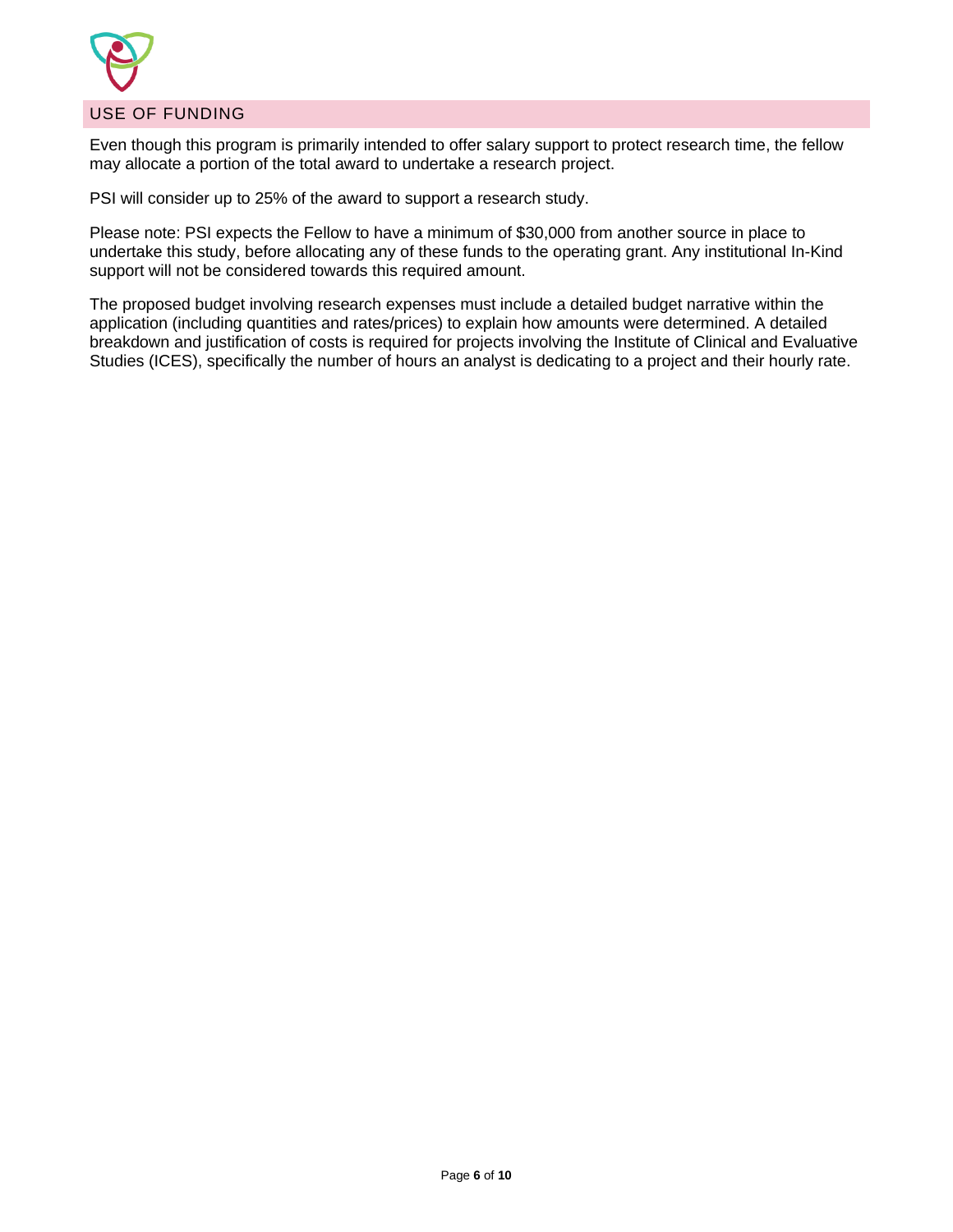

## <span id="page-6-0"></span>USE OF FUNDING

Even though this program is primarily intended to offer salary support to protect research time, the fellow may allocate a portion of the total award to undertake a research project.

PSI will consider up to 25% of the award to support a research study.

Please note: PSI expects the Fellow to have a minimum of \$30,000 from another source in place to undertake this study, before allocating any of these funds to the operating grant. Any institutional In-Kind support will not be considered towards this required amount.

The proposed budget involving research expenses must include a detailed budget narrative within the application (including quantities and rates/prices) to explain how amounts were determined. A detailed breakdown and justification of costs is required for projects involving the Institute of Clinical and Evaluative Studies (ICES), specifically the number of hours an analyst is dedicating to a project and their hourly rate.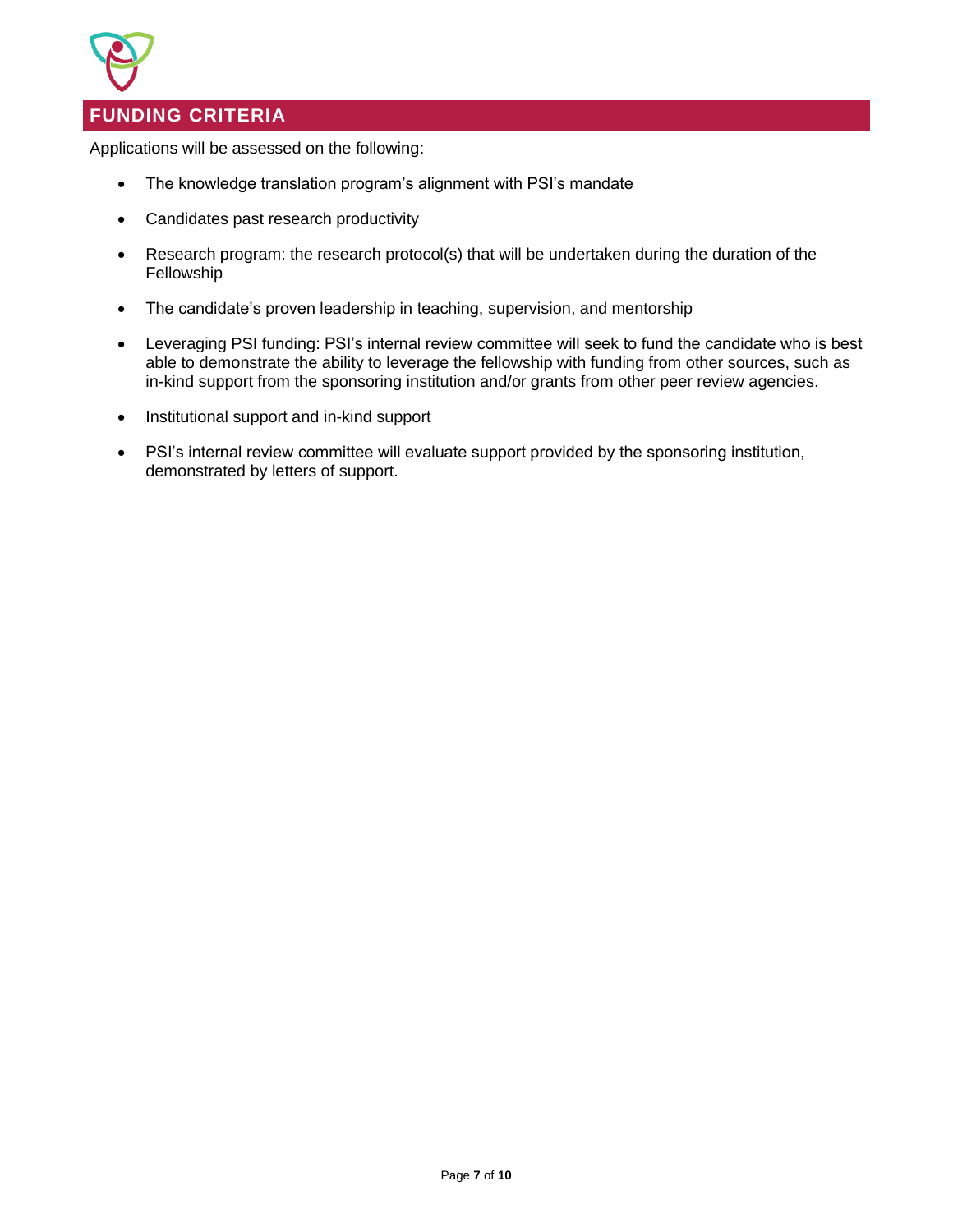

# <span id="page-7-0"></span>**FUNDING CRITERIA**

Applications will be assessed on the following:

- The knowledge translation program's alignment with PSI's mandate
- Candidates past research productivity
- Research program: the research protocol(s) that will be undertaken during the duration of the Fellowship
- The candidate's proven leadership in teaching, supervision, and mentorship
- Leveraging PSI funding: PSI's internal review committee will seek to fund the candidate who is best able to demonstrate the ability to leverage the fellowship with funding from other sources, such as in-kind support from the sponsoring institution and/or grants from other peer review agencies.
- Institutional support and in-kind support
- PSI's internal review committee will evaluate support provided by the sponsoring institution, demonstrated by letters of support.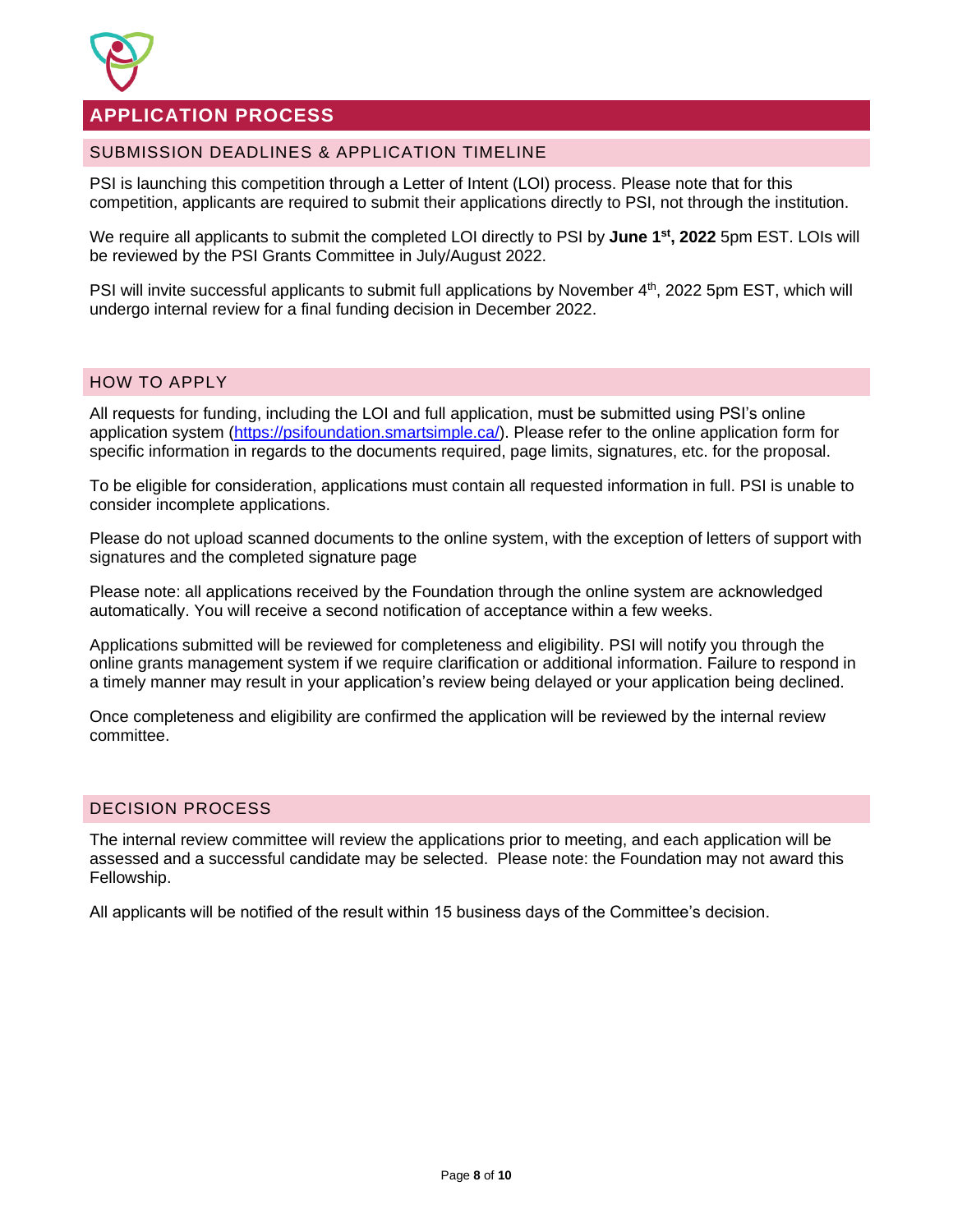

# <span id="page-8-0"></span>**APPLICATION PROCESS**

## <span id="page-8-1"></span>SUBMISSION DEADLINES & APPLICATION TIMELINE

PSI is launching this competition through a Letter of Intent (LOI) process. Please note that for this competition, applicants are required to submit their applications directly to PSI, not through the institution.

We require all applicants to submit the completed LOI directly to PSI by **June 1st , 2022** 5pm EST. LOIs will be reviewed by the PSI Grants Committee in July/August 2022.

PSI will invite successful applicants to submit full applications by November 4<sup>th</sup>, 2022 5pm EST, which will undergo internal review for a final funding decision in December 2022.

#### <span id="page-8-2"></span>HOW TO APPLY

All requests for funding, including the LOI and full application, must be submitted using PSI's online application system [\(https://psifoundation.smartsimple.ca/\)](https://psifoundation.smartsimple.ca/). Please refer to the online application form for specific information in regards to the documents required, page limits, signatures, etc. for the proposal.

To be eligible for consideration, applications must contain all requested information in full. PSI is unable to consider incomplete applications.

Please do not upload scanned documents to the online system, with the exception of letters of support with signatures and the completed signature page

Please note: all applications received by the Foundation through the online system are acknowledged automatically. You will receive a second notification of acceptance within a few weeks.

Applications submitted will be reviewed for completeness and eligibility. PSI will notify you through the online grants management system if we require clarification or additional information. Failure to respond in a timely manner may result in your application's review being delayed or your application being declined.

Once completeness and eligibility are confirmed the application will be reviewed by the internal review committee.

## <span id="page-8-3"></span>DECISION PROCESS

The internal review committee will review the applications prior to meeting, and each application will be assessed and a successful candidate may be selected. Please note: the Foundation may not award this Fellowship.

<span id="page-8-4"></span>All applicants will be notified of the result within 15 business days of the Committee's decision.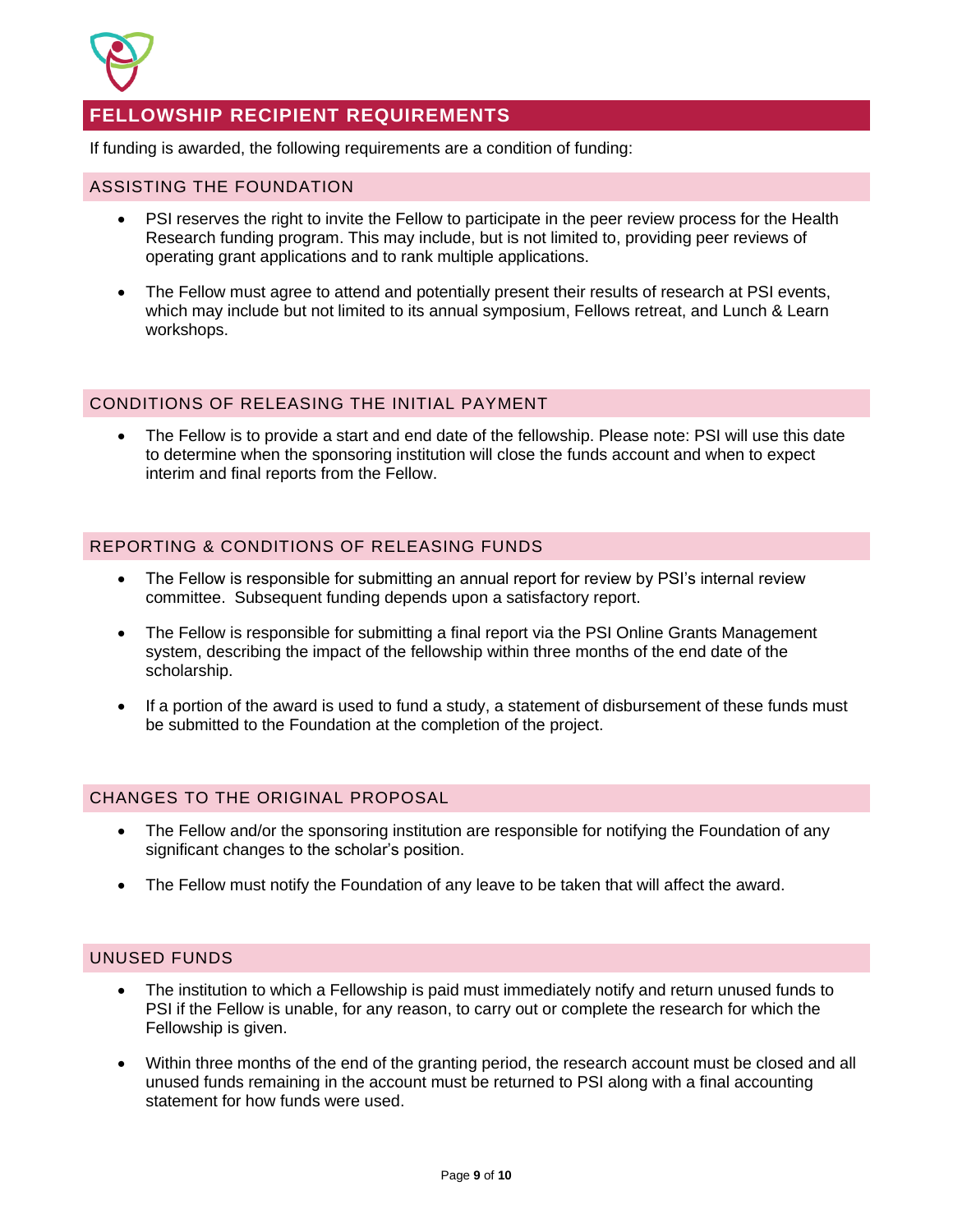

# **FELLOWSHIP RECIPIENT REQUIREMENTS**

If funding is awarded, the following requirements are a condition of funding:

#### <span id="page-9-0"></span>ASSISTING THE FOUNDATION

- PSI reserves the right to invite the Fellow to participate in the peer review process for the Health Research funding program. This may include, but is not limited to, providing peer reviews of operating grant applications and to rank multiple applications.
- The Fellow must agree to attend and potentially present their results of research at PSI events, which may include but not limited to its annual symposium, Fellows retreat, and Lunch & Learn workshops.

## <span id="page-9-1"></span>CONDITIONS OF RELEASING THE INITIAL PAYMENT

• The Fellow is to provide a start and end date of the fellowship. Please note: PSI will use this date to determine when the sponsoring institution will close the funds account and when to expect interim and final reports from the Fellow.

## <span id="page-9-2"></span>REPORTING & CONDITIONS OF RELEASING FUNDS

- The Fellow is responsible for submitting an annual report for review by PSI's internal review committee. Subsequent funding depends upon a satisfactory report.
- The Fellow is responsible for submitting a final report via the PSI Online Grants Management system, describing the impact of the fellowship within three months of the end date of the scholarship.
- If a portion of the award is used to fund a study, a statement of disbursement of these funds must be submitted to the Foundation at the completion of the project.

## <span id="page-9-3"></span>CHANGES TO THE ORIGINAL PROPOSAL

- The Fellow and/or the sponsoring institution are responsible for notifying the Foundation of any significant changes to the scholar's position.
- The Fellow must notify the Foundation of any leave to be taken that will affect the award.

## <span id="page-9-4"></span>UNUSED FUNDS

- The institution to which a Fellowship is paid must immediately notify and return unused funds to PSI if the Fellow is unable, for any reason, to carry out or complete the research for which the Fellowship is given.
- Within three months of the end of the granting period, the research account must be closed and all unused funds remaining in the account must be returned to PSI along with a final accounting statement for how funds were used.